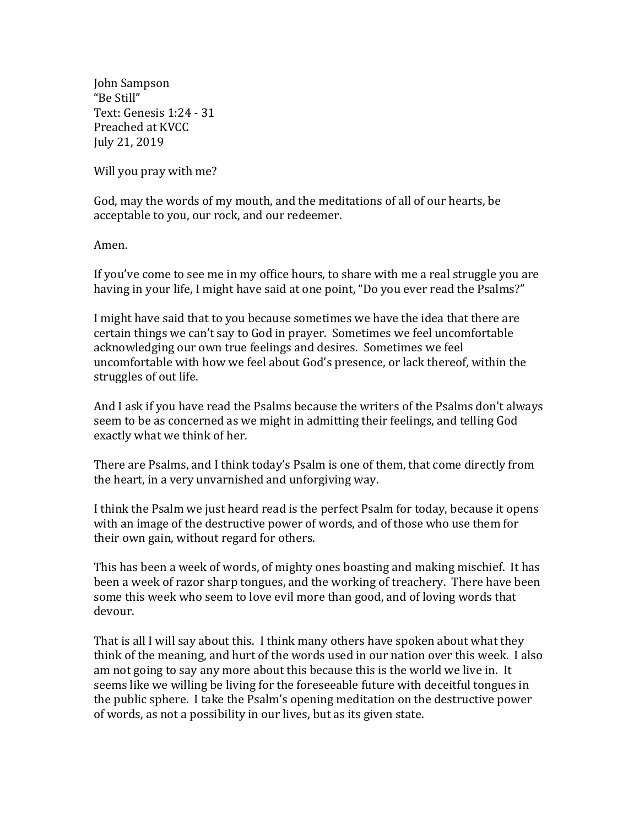John Sampson "Be Still" Text: Genesis 1:24 - 31 Preached at KVCC July 21, 2019

Will you pray with me?

God, may the words of my mouth, and the meditations of all of our hearts, be acceptable to you, our rock, and our redeemer.

Amen.

If you've come to see me in my office hours, to share with me a real struggle you are having in your life, I might have said at one point, "Do you ever read the Psalms?"

I might have said that to you because sometimes we have the idea that there are certain things we can't say to God in prayer. Sometimes we feel uncomfortable acknowledging our own true feelings and desires. Sometimes we feel uncomfortable with how we feel about God's presence, or lack thereof, within the struggles of out life.

And I ask if you have read the Psalms because the writers of the Psalms don't always seem to be as concerned as we might in admitting their feelings, and telling God exactly what we think of her.

There are Psalms, and I think today's Psalm is one of them, that come directly from the heart, in a very unvarnished and unforgiving way.

I think the Psalm we just heard read is the perfect Psalm for today, because it opens with an image of the destructive power of words, and of those who use them for their own gain, without regard for others.

This has been a week of words, of mighty ones boasting and making mischief. It has been a week of razor sharp tongues, and the working of treachery. There have been some this week who seem to love evil more than good, and of loving words that devour.

That is all I will say about this. I think many others have spoken about what they think of the meaning, and hurt of the words used in our nation over this week. I also am not going to say any more about this because this is the world we live in. It seems like we willing be living for the foreseeable future with deceitful tongues in the public sphere. I take the Psalm's opening meditation on the destructive power of words, as not a possibility in our lives, but as its given state.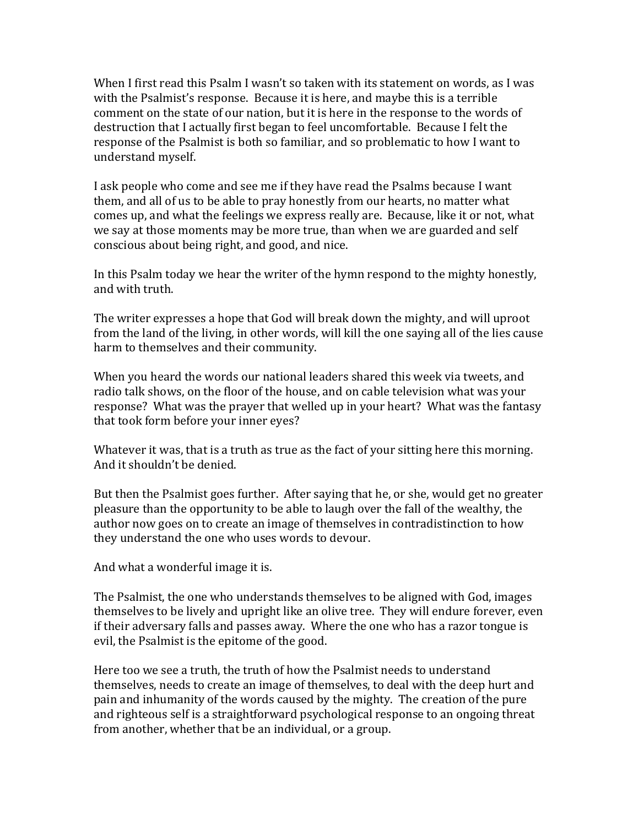When I first read this Psalm I wasn't so taken with its statement on words, as I was with the Psalmist's response. Because it is here, and maybe this is a terrible comment on the state of our nation, but it is here in the response to the words of destruction that I actually first began to feel uncomfortable. Because I felt the response of the Psalmist is both so familiar, and so problematic to how I want to understand myself.

I ask people who come and see me if they have read the Psalms because I want them, and all of us to be able to pray honestly from our hearts, no matter what comes up, and what the feelings we express really are. Because, like it or not, what we say at those moments may be more true, than when we are guarded and self conscious about being right, and good, and nice.

In this Psalm today we hear the writer of the hymn respond to the mighty honestly, and with truth.

The writer expresses a hope that God will break down the mighty, and will uproot from the land of the living, in other words, will kill the one saying all of the lies cause harm to themselves and their community.

When you heard the words our national leaders shared this week via tweets, and radio talk shows, on the floor of the house, and on cable television what was your response? What was the prayer that welled up in your heart? What was the fantasy that took form before your inner eyes?

Whatever it was, that is a truth as true as the fact of your sitting here this morning. And it shouldn't be denied.

But then the Psalmist goes further. After saying that he, or she, would get no greater pleasure than the opportunity to be able to laugh over the fall of the wealthy, the author now goes on to create an image of themselves in contradistinction to how they understand the one who uses words to devour.

And what a wonderful image it is.

The Psalmist, the one who understands themselves to be aligned with God, images themselves to be lively and upright like an olive tree. They will endure forever, even if their adversary falls and passes away. Where the one who has a razor tongue is evil, the Psalmist is the epitome of the good.

Here too we see a truth, the truth of how the Psalmist needs to understand themselves, needs to create an image of themselves, to deal with the deep hurt and pain and inhumanity of the words caused by the mighty. The creation of the pure and righteous self is a straightforward psychological response to an ongoing threat from another, whether that be an individual, or a group.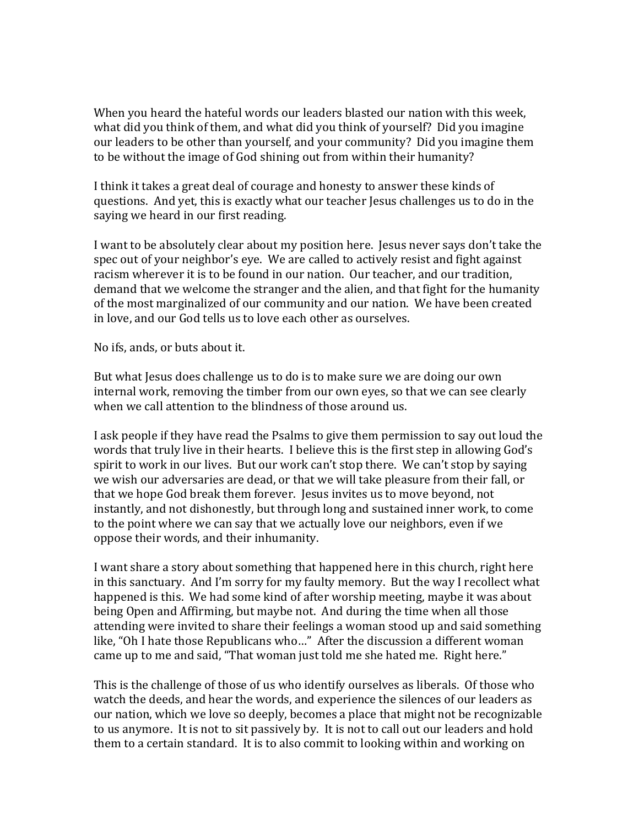When you heard the hateful words our leaders blasted our nation with this week, what did you think of them, and what did you think of yourself? Did you imagine our leaders to be other than yourself, and your community? Did you imagine them to be without the image of God shining out from within their humanity?

I think it takes a great deal of courage and honesty to answer these kinds of questions. And yet, this is exactly what our teacher Jesus challenges us to do in the saying we heard in our first reading.

I want to be absolutely clear about my position here. Jesus never says don't take the spec out of your neighbor's eye. We are called to actively resist and fight against racism wherever it is to be found in our nation. Our teacher, and our tradition, demand that we welcome the stranger and the alien, and that fight for the humanity of the most marginalized of our community and our nation. We have been created in love, and our God tells us to love each other as ourselves.

No ifs, ands, or buts about it.

But what Jesus does challenge us to do is to make sure we are doing our own internal work, removing the timber from our own eyes, so that we can see clearly when we call attention to the blindness of those around us.

I ask people if they have read the Psalms to give them permission to say out loud the words that truly live in their hearts. I believe this is the first step in allowing God's spirit to work in our lives. But our work can't stop there. We can't stop by saying we wish our adversaries are dead, or that we will take pleasure from their fall, or that we hope God break them forever. Jesus invites us to move beyond, not instantly, and not dishonestly, but through long and sustained inner work, to come to the point where we can say that we actually love our neighbors, even if we oppose their words, and their inhumanity.

I want share a story about something that happened here in this church, right here in this sanctuary. And I'm sorry for my faulty memory. But the way I recollect what happened is this. We had some kind of after worship meeting, maybe it was about being Open and Affirming, but maybe not. And during the time when all those attending were invited to share their feelings a woman stood up and said something like, "Oh I hate those Republicans who..." After the discussion a different woman came up to me and said, "That woman just told me she hated me. Right here."

This is the challenge of those of us who identify ourselves as liberals. Of those who watch the deeds, and hear the words, and experience the silences of our leaders as our nation, which we love so deeply, becomes a place that might not be recognizable to us anymore. It is not to sit passively by. It is not to call out our leaders and hold them to a certain standard. It is to also commit to looking within and working on